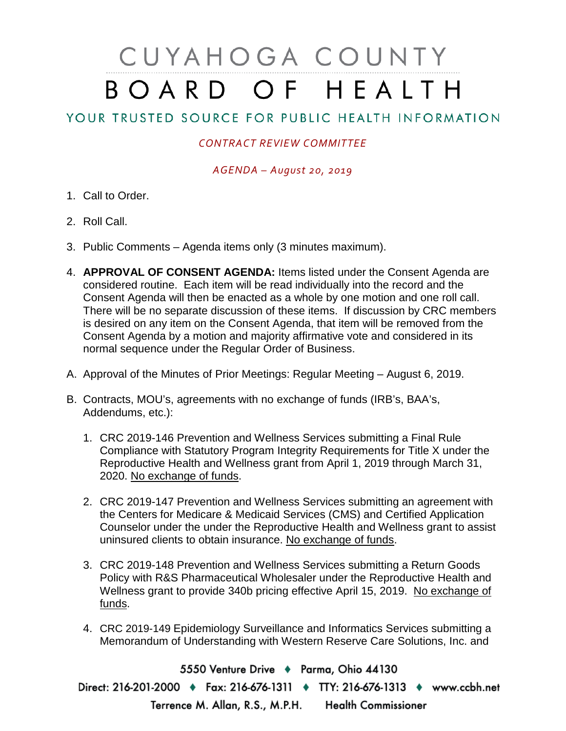# CUYAHOGA COUNTY BOARD OF HEALTH

# YOUR TRUSTED SOURCE FOR PUBLIC HEALTH INFORMATION

## *CONTRACT REVIEW COMMITTEE*

### *AGENDA – August 20, 2019*

- 1. Call to Order.
- 2. Roll Call.
- 3. Public Comments Agenda items only (3 minutes maximum).
- 4. **APPROVAL OF CONSENT AGENDA:** Items listed under the Consent Agenda are considered routine. Each item will be read individually into the record and the Consent Agenda will then be enacted as a whole by one motion and one roll call. There will be no separate discussion of these items. If discussion by CRC members is desired on any item on the Consent Agenda, that item will be removed from the Consent Agenda by a motion and majority affirmative vote and considered in its normal sequence under the Regular Order of Business.
- A. Approval of the Minutes of Prior Meetings: Regular Meeting August 6, 2019.
- B. Contracts, MOU's, agreements with no exchange of funds (IRB's, BAA's, Addendums, etc.):
	- 1. CRC 2019-146 Prevention and Wellness Services submitting a Final Rule Compliance with Statutory Program Integrity Requirements for Title X under the Reproductive Health and Wellness grant from April 1, 2019 through March 31, 2020. No exchange of funds.
	- 2. CRC 2019-147 Prevention and Wellness Services submitting an agreement with the Centers for Medicare & Medicaid Services (CMS) and Certified Application Counselor under the under the Reproductive Health and Wellness grant to assist uninsured clients to obtain insurance. No exchange of funds.
	- 3. CRC 2019-148 Prevention and Wellness Services submitting a Return Goods Policy with R&S Pharmaceutical Wholesaler under the Reproductive Health and Wellness grant to provide 340b pricing effective April 15, 2019. No exchange of funds.
	- 4. CRC 2019-149 Epidemiology Surveillance and Informatics Services submitting a Memorandum of Understanding with Western Reserve Care Solutions, Inc. and

5550 Venture Drive + Parma, Ohio 44130 Direct: 216-201-2000 • Fax: 216-676-1311 • TTY: 216-676-1313 • www.ccbh.net Terrence M. Allan, R.S., M.P.H. Health Commissioner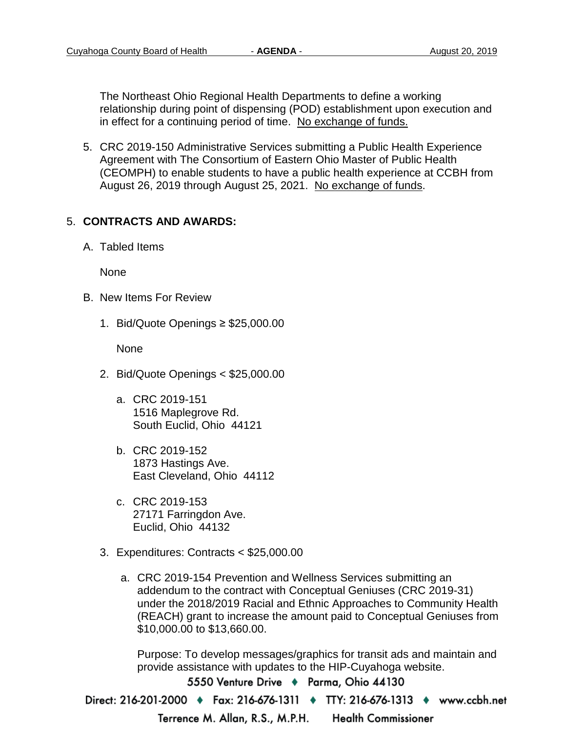The Northeast Ohio Regional Health Departments to define a working relationship during point of dispensing (POD) establishment upon execution and in effect for a continuing period of time. No exchange of funds.

5. CRC 2019-150 Administrative Services submitting a Public Health Experience Agreement with The Consortium of Eastern Ohio Master of Public Health (CEOMPH) to enable students to have a public health experience at CCBH from August 26, 2019 through August 25, 2021. No exchange of funds.

#### 5. **CONTRACTS AND AWARDS:**

A. Tabled Items

None

- B. New Items For Review
	- 1. Bid/Quote Openings ≥ \$25,000.00

None

- 2. Bid/Quote Openings < \$25,000.00
	- a. CRC 2019-151 1516 Maplegrove Rd. South Euclid, Ohio 44121
	- b. CRC 2019-152 1873 Hastings Ave. East Cleveland, Ohio 44112
	- c. CRC 2019-153 27171 Farringdon Ave. Euclid, Ohio 44132
- 3. Expenditures: Contracts < \$25,000.00
	- a. CRC 2019-154 Prevention and Wellness Services submitting an addendum to the contract with Conceptual Geniuses (CRC 2019-31) under the 2018/2019 Racial and Ethnic Approaches to Community Health (REACH) grant to increase the amount paid to Conceptual Geniuses from \$10,000.00 to \$13,660.00.

Purpose: To develop messages/graphics for transit ads and maintain and provide assistance with updates to the HIP-Cuyahoga website.

5550 Venture Drive + Parma, Ohio 44130

Direct: 216-201-2000 ♦ Fax: 216-676-1311 ♦ TTY: 216-676-1313 ♦ www.ccbh.net

Terrence M. Allan, R.S., M.P.H. **Health Commissioner**